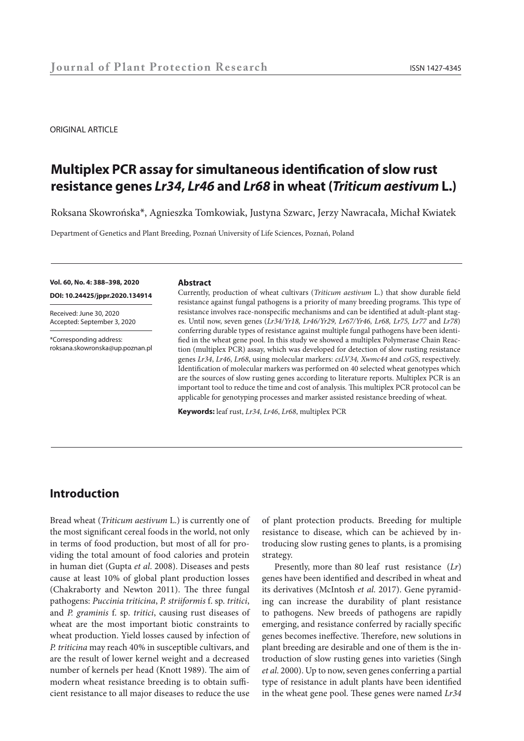#### ORIGINAL ARTICLE

# **Multiplex PCR assay for simultaneous identification of slow rust resistance genes** *Lr34***,** *Lr46* **and** *Lr68* **in wheat (***Triticum aestivum* **L.)**

Roksana Skowrońska\*, Agnieszka Tomkowiak, Justyna Szwarc, Jerzy Nawracała, Michał Kwiatek

Department of Genetics and Plant Breeding, Poznań University of Life Sciences, Poznań, Poland

**Vol. 60, No. 4: 388–398, 2020 DOI: 10.24425/jppr.2020.134914**

Received: June 30, 2020 Accepted: September 3, 2020

\*Corresponding address: roksana.skowronska@up.poznan.pl

#### **Abstract**

Currently, production of wheat cultivars (*Triticum aestivum* L.) that show durable field resistance against fungal pathogens is a priority of many breeding programs. This type of resistance involves race-nonspecific mechanisms and can be identified at adult-plant stages. Until now, seven genes (*Lr34/Yr18, Lr46/Yr29, Lr67/Yr46, Lr68, Lr75, Lr77* and *Lr78*) conferring durable types of resistance against multiple fungal pathogens have been identified in the wheat gene pool. In this study we showed a multiplex Polymerase Chain Reaction (multiplex PCR) assay, which was developed for detection of slow rusting resistance genes *Lr34*, *Lr46*, *Lr68*, using molecular markers: *csLV34, Xwmc44* and *csGS*, respectively. Identification of molecular markers was performed on 40 selected wheat genotypes which are the sources of slow rusting genes according to literature reports. Multiplex PCR is an important tool to reduce the time and cost of analysis. This multiplex PCR protocol can be applicable for genotyping processes and marker assisted resistance breeding of wheat.

**Keywords:** leaf rust, *Lr34*, *Lr46*, *Lr68*, multiplex PCR

## **Introduction**

Bread wheat (*Triticum aestivum* L.) is currently one of the most significant cereal foods in the world, not only in terms of food production, but most of all for providing the total amount of food calories and protein in human diet (Gupta *et al*. 2008). Diseases and pests cause at least 10% of global plant production losses (Chakraborty and Newton 2011). The three fungal pathogens: *Puccinia triticina*, *P. striiformis* f. sp. *tritici*, and *P. graminis* f. sp. *tritici*, causing rust diseases of wheat are the most important biotic constraints to wheat production. Yield losses caused by infection of *P. triticina* may reach 40% in susceptible cultivars, and are the result of lower kernel weight and a decreased number of kernels per head (Knott 1989). The aim of modern wheat resistance breeding is to obtain sufficient resistance to all major diseases to reduce the use

of plant protection products. Breeding for multiple resistance to disease, which can be achieved by introducing slow rusting genes to plants, is a promising strategy.

Presently, more than 80 leaf rust resistance (*Lr*) genes have been identified and described in wheat and its derivatives (McIntosh *et al*. 2017). Gene pyramiding can increase the durability of plant resistance to pathogens. New breeds of pathogens are rapidly emerging, and resistance conferred by racially specific genes becomes ineffective. Therefore, new solutions in plant breeding are desirable and one of them is the introduction of slow rusting genes into varieties (Singh *et al*. 2000). Up to now, seven genes conferring a partial type of resistance in adult plants have been identified in the wheat gene pool. These genes were named *Lr34*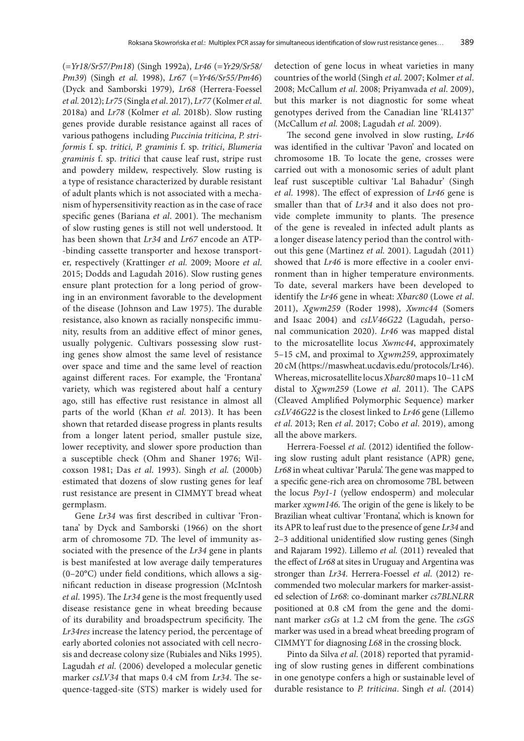(=*Yr18/Sr57/Pm18*) (Singh 1992a), *Lr46* (=*Yr29/Sr58/ Pm39*) (Singh *et al.* 1998), *Lr67* (=*Yr46/Sr55/Pm46*) (Dyck and Samborski 1979), *Lr68* (Herrera-Foessel *et al.* 2012); *Lr75* (Singla *et al*. 2017), *Lr77* (Kolmer *et al*. 2018a) and *Lr78* (Kolmer *et al*. 2018b). Slow rusting genes provide durable resistance against all races of various pathogens including *Puccinia triticina, P. striformis* f. sp. *tritici, P. graminis* f. sp. *tritici*, *Blumeria graminis* f. sp. *tritici* that cause leaf rust, stripe rust and powdery mildew, respectively. Slow rusting is a type of resistance characterized by durable resistant of adult plants which is not associated with a mechanism of hypersensitivity reaction as in the case of race specific genes (Bariana *et al*. 2001). The mechanism of slow rusting genes is still not well understood. It has been shown that *Lr34* and *Lr67* encode an ATP- -binding cassette transporter and hexose transporter, respectively (Krattinger *et al.* 2009; Moore *et al*. 2015; Dodds and Lagudah 2016). Slow rusting genes ensure plant protection for a long period of growing in an environment favorable to the development of the disease (Johnson and Law 1975). The durable resistance, also known as racially nonspecific immunity, results from an additive effect of minor genes, usually polygenic. Cultivars possessing slow rusting genes show almost the same level of resistance over space and time and the same level of reaction against different races. For example, the 'Frontana' variety, which was registered about half a century ago, still has effective rust resistance in almost all parts of the world (Khan *et al.* 2013). It has been shown that retarded disease progress in plants results from a longer latent period, smaller pustule size, lower receptivity, and slower spore production than a susceptible check (Ohm and Shaner 1976; Wilcoxson 1981; Das *et al*. 1993). Singh *et al.* (2000b) estimated that dozens of slow rusting genes for leaf rust resistance are present in CIMMYT bread wheat germplasm.

Gene *Lr34* was first described in cultivar 'Frontana' by Dyck and Samborski (1966) on the short arm of chromosome 7D. The level of immunity associated with the presence of the *Lr34* gene in plants is best manifested at low average daily temperatures (0–20°C) under field conditions, which allows a significant reduction in disease progression (McIntosh *et al*. 1995). The *Lr34* gene is the most frequently used disease resistance gene in wheat breeding because of its durability and broadspectrum specificity. The *Lr34res* increase the latency period, the percentage of early aborted colonies not associated with cell necrosis and decrease colony size (Rubiales and Niks 1995). Lagudah *et al.* (2006) developed a molecular genetic marker *csLV34* that maps 0.4 cM from *Lr34*. The sequence-tagged-site (STS) marker is widely used for

detection of gene locus in wheat varieties in many countries of the world (Singh *et al.* 2007; Kolmer *et al*. 2008; McCallum *et al*. 2008; Priyamvada *et al*. 2009), but this marker is not diagnostic for some wheat genotypes derived from the Canadian line 'RL4137' (McCallum *et al.* 2008; Lagudah *et al.* 2009).

The second gene involved in slow rusting, *Lr46* was identified in the cultivar 'Pavon' and located on chromosome 1B. To locate the gene, crosses were carried out with a monosomic series of adult plant leaf rust susceptible cultivar 'Lal Bahadur' (Singh *et al*. 1998). The effect of expression of *Lr46* gene is smaller than that of *Lr34* and it also does not provide complete immunity to plants. The presence of the gene is revealed in infected adult plants as a longer disease latency period than the control without this gene (Martinez *et al.* 2001). Lagudah (2011) showed that *Lr46* is more effective in a cooler environment than in higher temperature environments. To date, several markers have been developed to identify the *Lr46* gene in wheat: *Xbarc80* (Lowe *et al*. 2011), *Xgwm259* (Roder 1998), *Xwmc44* (Somers and Isaac 2004) and *csLV46G22* (Lagudah, personal communication 2020). *Lr46* was mapped distal to the microsatellite locus *Xwmc44*, approximately 5–15 cM, and proximal to *Xgwm259*, approximately 20 cM (https://maswheat.ucdavis.edu/protocols/Lr46). Whereas, microsatellite locus *Xbarc80* maps 10–11 cM distal to *Xgwm259* (Lowe *et al.* 2011). The CAPS (Cleaved Amplified Polymorphic Sequence) marker *csLV46G22* is the closest linked to *Lr46* gene (Lillemo *et al*. 2013; Ren *et al*. 2017; Cobo *et al*. 2019), among all the above markers.

Herrera-Foessel *et al.* (2012) identified the following slow rusting adult plant resistance (APR) gene, *Lr68* in wheat cultivar 'Parula'. The gene was mapped to a specific gene-rich area on chromosome 7BL between the locus *Psy1-1* (yellow endosperm) and molecular marker *xgwm146*. The origin of the gene is likely to be Brazilian wheat cultivar 'Frontana', which is known for its APR to leaf rust due to the presence of gene *Lr34* and 2–3 additional unidentified slow rusting genes (Singh and Rajaram 1992). Lillemo *et al.* (2011) revealed that the effect of *Lr68* at sites in Uruguay and Argentina was stronger than *Lr34*. Herrera-Foessel *et al*. (2012) recommended two molecular markers for marker-assisted selection of *Lr68*: co-dominant marker *cs7BLNLRR* positioned at 0.8 cM from the gene and the dominant marker *csGs* at 1.2 cM from the gene. The *csGS* marker was used in a bread wheat breeding program of CIMMYT for diagnosing *L68* in the crossing block.

Pinto da Silva *et al*. (2018) reported that pyramiding of slow rusting genes in different combinations in one genotype confers a high or sustainable level of durable resistance to *P. triticina*. Singh *et al*. (2014)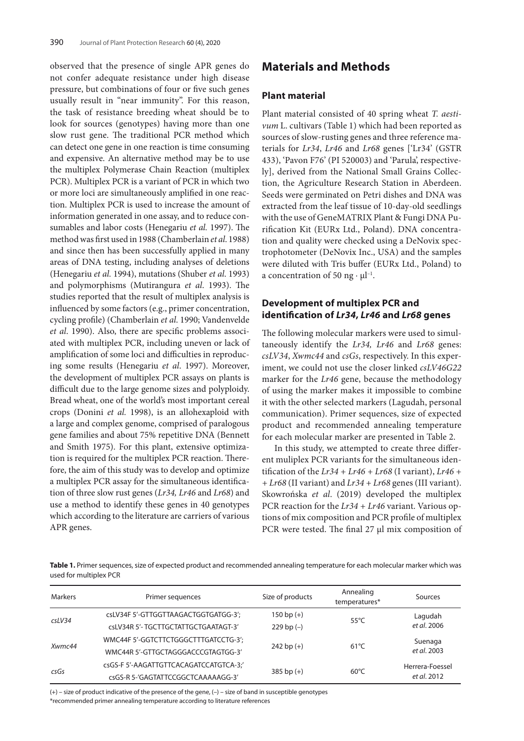observed that the presence of single APR genes do not confer adequate resistance under high disease pressure, but combinations of four or five such genes usually result in "near immunity". For this reason, the task of resistance breeding wheat should be to look for sources (genotypes) having more than one slow rust gene. The traditional PCR method which can detect one gene in one reaction is time consuming and expensive. An alternative method may be to use the multiplex Polymerase Chain Reaction (multiplex PCR). Multiplex PCR is a variant of PCR in which two or more loci are simultaneously amplified in one reaction. Multiplex PCR is used to increase the amount of information generated in one assay, and to reduce consumables and labor costs (Henegariu *et al.* 1997). The method was first used in 1988 (Chamberlain *et al*. 1988) and since then has been successfully applied in many areas of DNA testing, including analyses of deletions (Henegariu *et al.* 1994), mutations (Shuber *et al*. 1993) and polymorphisms (Mutirangura *et al*. 1993). The studies reported that the result of multiplex analysis is influenced by some factors (e.g., primer concentration, cycling profile) (Chamberlain *et al*. 1990; Vandenvelde *et al*. 1990). Also, there are specific problems associated with multiplex PCR, including uneven or lack of amplification of some loci and difficulties in reproducing some results (Henegariu *et al*. 1997). Moreover, the development of multiplex PCR assays on plants is difficult due to the large genome sizes and polyploidy. Bread wheat, one of the world's most important cereal crops (Donini *et al.* 1998), is an allohexaploid with a large and complex genome, comprised of paralogous gene families and about 75% repetitive DNA (Bennett and Smith 1975). For this plant, extensive optimization is required for the multiplex PCR reaction. Therefore, the aim of this study was to develop and optimize a multiplex PCR assay for the simultaneous identification of three slow rust genes (*Lr34, Lr46* and *Lr68*) and use a method to identify these genes in 40 genotypes which according to the literature are carriers of various APR genes.

## **Materials and Methods**

#### **Plant material**

Plant material consisted of 40 spring wheat *T. aestivum* L. cultivars (Table 1) which had been reported as sources of slow-rusting genes and three reference materials for *Lr34*, *Lr46* and *Lr68* genes ['Lr34' (GSTR 433), 'Pavon F76' (PI 520003) and 'Parula', respectively], derived from the National Small Grains Collection, the Agriculture Research Station in Aberdeen. Seeds were germinated on Petri dishes and DNA was extracted from the leaf tissue of 10-day-old seedlings with the use of GeneMATRIX Plant & Fungi DNA Purification Kit (EURx Ltd., Poland). DNA concentration and quality were checked using a DeNovix spectrophotometer (DeNovix Inc., USA) and the samples were diluted with Tris buffer (EURx Ltd., Poland) to a concentration of 50 ng  $\cdot \mu l^{-1}$ .

### **Development of multiplex PCR and identification of** *Lr34***,** *Lr46* **and** *Lr68* **genes**

The following molecular markers were used to simultaneously identify the *Lr34, Lr46* and *Lr68* genes: *csLV34*, *Xwmc44* and *csGs*, respectively. In this experiment, we could not use the closer linked *csLV46G22* marker for the *Lr46* gene, because the methodology of using the marker makes it impossible to combine it with the other selected markers (Lagudah, personal communication). Primer sequences, size of expected product and recommended annealing temperature for each molecular marker are presented in Table 2.

In this study, we attempted to create three different muliplex PCR variants for the simultaneous identification of the *Lr34 + Lr46 + Lr68* (I variant), *Lr46 + + Lr68* (II variant) and *Lr34 + Lr68* genes (III variant). Skowrońska *et al*. (2019) developed the multiplex PCR reaction for the *Lr34 + Lr46* variant. Various options of mix composition and PCR profile of multiplex PCR were tested. The final 27 μl mix composition of

**Table 1.** Primer sequences, size of expected product and recommended annealing temperature for each molecular marker which was used for multiplex PCR

| Markers   | Primer sequences                       | Size of products | Annealing<br>temperatures* | Sources         |
|-----------|----------------------------------------|------------------|----------------------------|-----------------|
|           | csLV34F 5'-GTTGGTTAAGACTGGTGATGG-3';   | $150$ bp $(+)$   | $55^{\circ}$ C             | Lagudah         |
| $c$ sLV34 | csLV34R 5'-TGCTTGCTATTGCTGAATAGT-3'    | $229$ bp $(-)$   |                            | et al. 2006     |
| Xwmc44    | WMC44F 5'-GGTCTTCTGGGCTTTGATCCTG-3';   |                  | $61^{\circ}$ C             | Suenaga         |
|           | WMC44R 5'-GTTGCTAGGGACCCGTAGTGG-3'     | $242$ bp $(+)$   |                            | et al. 2003     |
|           | csGS-F 5'-AAGATTGTTCACAGATCCATGTCA-3;' |                  |                            | Herrera-Foessel |
| csGs      | csGS-R 5-'GAGTATTCCGGCTCAAAAAGG-3'     | $385$ bp $(+)$   | $60^{\circ}$ C             | et al. 2012     |

(+) – size of product indicative of the presence of the gene, (–) – size of band in susceptible genotypes

\*recommended primer annealing temperature according to literature references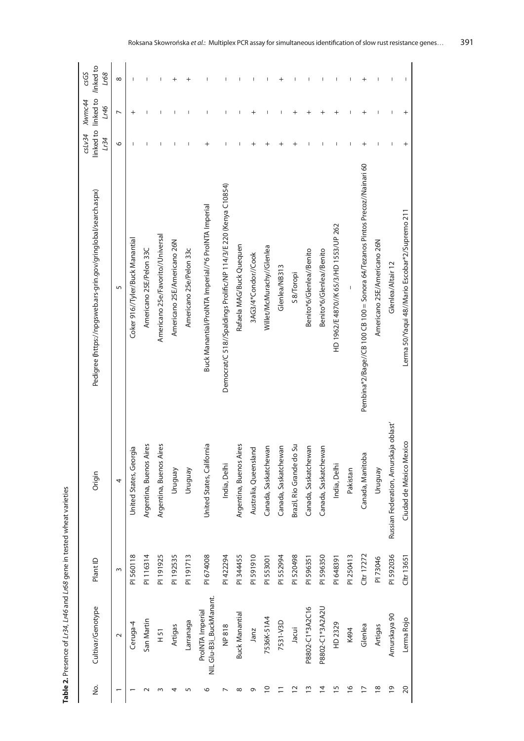| З.              | Cultivar/Genotype                           | Plant ID   | Origin                                | Pedigree (https://npgsweb.ars-grin.gov/gringlobal/search.aspx)              | CSLV34<br>Lr34 | linked to linked to linked to<br>Xwmc44<br>9717 | csGS<br>168 |
|-----------------|---------------------------------------------|------------|---------------------------------------|-----------------------------------------------------------------------------|----------------|-------------------------------------------------|-------------|
|                 | $\sim$                                      | $\sim$     | 4                                     | 5                                                                           | O              | $\overline{ }$                                  | $\infty$    |
|                 | Ceruga-4                                    | PI 560118  | United States, Georgia                | Coker 916//Tyler/Buck Manantial                                             |                | $\overline{+}$                                  |             |
|                 | San Martin                                  | PI116314   | Argentina, Buenos Aires               | Americano 25E/Pelon 33C                                                     |                |                                                 |             |
|                 | 151                                         | PI191925   | Argentina, Buenos Aires               | Americano 25e/Favorito//Universal                                           |                |                                                 |             |
|                 | Artigas                                     | PI 192535  | Vruguay                               | Americano 25E/Americano 26N                                                 |                |                                                 | $\,{}^+$    |
| m               | Larranaga                                   | PI 191713  | Vruguay                               | Americano 25e/Pelon 33c                                                     |                |                                                 | $\,{}^+$    |
| ७               | NIL Glu-B3i_BuckManant.<br>ProINTA Imperial | PI 674008  | United States, California             | Buck Manantial/ProINTA Imperial//*6 ProINTA Imperial                        |                |                                                 |             |
|                 | NP 818                                      | PI422294   | India, Delhi                          | Democrat/C 518//Spaldings Prolific/NP 114/3/E 220 (Kenya C10854)            |                |                                                 |             |
| ∞               | <b>Buck Manantial</b>                       | PI 344455  | Argentina, Buenos Aires               | Rafaela MAG/Buck Quequen                                                    |                |                                                 |             |
| Ō               | Janz                                        | PI 591910  | Australia, Queensland                 | 3AG3/4*Condor//Cook                                                         | $\,{}^+$       | $\,{}^+$                                        |             |
| $\overline{C}$  | 7536K-51A4                                  | PI 553001  | Canada, Saskatchewan                  | Willet/McMurachy//Glenlea                                                   |                |                                                 |             |
|                 | 7531-V3D                                    | PI 552994  | Canada, Saskatchewan                  | Glenlea/NB313                                                               | $^+$           |                                                 |             |
| $\tilde{c}$     | Jacui                                       | PI 520498  | Brazil, Rio Grande do Su              | S 8/Toropi                                                                  |                |                                                 |             |
| $\tilde{=}$     | P8802-C1*3A2C16                             | PI 596351  | Canada, Saskatchewan                  | Benito*6/Glenlea//Benito                                                    |                |                                                 |             |
| $\overline{4}$  | P8802-C1*3A2A2U                             | PI 596350  | Canada, Saskatchewan                  | Benito*6/Glenlea//Benito                                                    |                |                                                 |             |
| $\overline{15}$ | HD 2329                                     | PI 648391  | India, Delhi                          | HD 1962/E 4870//K 65/3/HD 1553/UP 262                                       |                |                                                 |             |
| $\frac{6}{2}$   | K494                                        | PI 250413  | Pakistan                              |                                                                             |                |                                                 |             |
| $\overline{1}$  | Glenlea                                     | Cltr 17272 | Canada, Manitoba                      | Pembina*2/Bage//CB 100 CB 100 = Sonora 64/Tezanos Pintos Precoz//Nainari 60 |                |                                                 |             |
| $\frac{8}{1}$   | Artigas                                     | PI 73046   | Vruguay                               | Americano 25E/Americano 26N                                                 |                |                                                 |             |
| $\overline{0}$  | Amurskaya 90                                | PI 592036  | Russian Federation, Amurskaja oblast' | Glenlea/Altair 12                                                           |                |                                                 |             |
| $\overline{c}$  | Lerma Rojo                                  | Cltr 13651 | Ciudad de México Mexico               | Lerma 50/Yaqui 48//Mario Escobar*2/Supremo 211                              |                |                                                 |             |

Table 2. Presence of Lr34, Lr46 and Lr68 gene in tested wheat varieties **Table 2.** Presence of *Lr34*, *Lr46* and *Lr68* gene in tested wheat varieties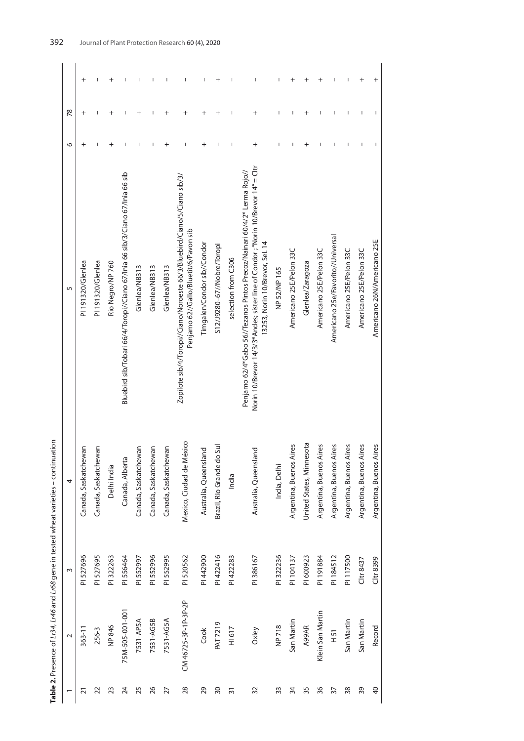|                 |                      |           | Table 2. Presence of Lr34, Lr46 and Lr68 gene in tested wheat varieties - continuation |                                                                                                                                                                                                  |          |    |          |
|-----------------|----------------------|-----------|----------------------------------------------------------------------------------------|--------------------------------------------------------------------------------------------------------------------------------------------------------------------------------------------------|----------|----|----------|
|                 | $\sim$               | $\infty$  | 4                                                                                      | 5                                                                                                                                                                                                | ७        | 78 |          |
| $\overline{21}$ | $363 - 11$           | PI 527696 | Canada, Saskatchewan                                                                   | PI 191320/Glenlea                                                                                                                                                                                |          |    | $\,{}^+$ |
| 22              | 256-3                | PI 527695 | Canada, Saskatchewan                                                                   | PI 191320/Glenlea                                                                                                                                                                                |          |    |          |
| 23              | NP 846               | PI 322263 | Delhi India                                                                            | Rio Negro/NP 760                                                                                                                                                                                 |          |    |          |
| 24              | 75M-505-001-001      | PI 556464 | Canada, Alberta                                                                        | Bluebird sib/Tobari 66/4/Toropi//Ciano 67/Inia 66 sib/3/Ciano 67/Inia 66 sib                                                                                                                     |          |    |          |
| 25              | 7531-AP5A            | PI 552997 | Canada, Saskatchewan                                                                   | Glenlea/NB313                                                                                                                                                                                    |          |    |          |
| 26              | 7531-AG5B            | PI 552996 | Canada, Saskatchewan                                                                   | Glenlea/NB313                                                                                                                                                                                    |          |    |          |
| 27              | 7531-AG5A            | PI 552995 | Canada, Saskatchewan                                                                   | Glenlea/NB313                                                                                                                                                                                    | $\,{}^+$ | +  |          |
| 28              | CM 46725-3P-1P-3P-2P | PI 520562 | Mexico, Ciudad de México                                                               | Zopilote sib/4/Toropi//Ciano/Noroeste 66/3/Bluebird/Ciano/5/Ciano sib/3/<br>Penjamo 62//Gallo/Bluetit/6/Pavon sib                                                                                |          |    |          |
| 29              | Cook                 | PI 442900 | Australia, Queensland                                                                  | Timgalen/Condor sib//Condor                                                                                                                                                                      |          |    |          |
| $\overline{30}$ | <b>PAT 7219</b>      | PI422416  | <b>Jul</b><br>Brazil, Rio Grande do                                                    | S12/J9280-67//Nobre/Toropi                                                                                                                                                                       |          | +  | $\,{}^+$ |
| $\overline{3}$  | H1617                | PI 422283 | India                                                                                  | selection from C306                                                                                                                                                                              |          |    |          |
| 32              | Oxley                | PI386167  | Australia, Queensland                                                                  | Norin 10/Brevor 14/3/3*Andes; sister line of Condor ; "Norin 10/Brevor 14" = Cltr<br>Penjamo 62/4*Gabo 56//Tezanos Pintos Precoz/Nainari 60/4/2* Lerma Rojo//<br>13253, Norin 10/Brevor, Sel. 14 |          |    |          |
| 33              | NP 718               | PI 322236 | India, Delhi                                                                           | NP 52/NP 165                                                                                                                                                                                     |          |    |          |
| 34              | San Martin           | PI 104137 | Argentina, Buenos Aires                                                                | Americano 25E/Pelon 33C                                                                                                                                                                          |          |    |          |
| 35              | <b>A99AR</b>         | PI 600923 | United States, Minnesota                                                               | Glenlea/Zaragoza                                                                                                                                                                                 |          |    |          |
| 36              | Klein San Martin     | PI 191884 | Argentina, Buenos Aires                                                                | Americano 25E/Pelon 33C                                                                                                                                                                          |          |    |          |
| $\overline{5}$  | 151                  | PI 184512 | Argentina, Buenos Aires                                                                | Americano 25e/Favorito//Universal                                                                                                                                                                |          |    |          |
| 38              | San Martin           | PI117500  | Argentina, Buenos Aires                                                                | Americano 25E/Pelon 33C                                                                                                                                                                          |          |    |          |
| 39              | San Martin           | Cltr 8437 | Argentina, Buenos Aires                                                                | Americano 25E/Pelon 33C                                                                                                                                                                          |          |    | $\,{}^+$ |
| $\overline{a}$  | Record               | Cltr 8399 | Argentina, Buenos Aires                                                                | Americano 26N/Americano 25E                                                                                                                                                                      |          |    |          |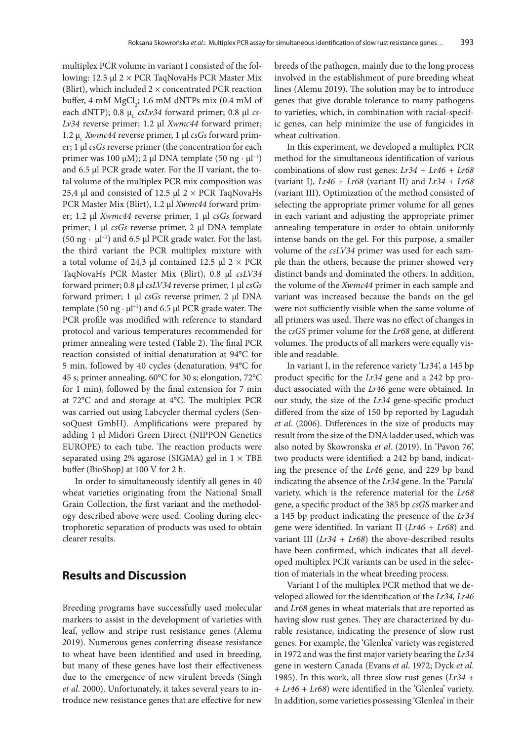multiplex PCR volume in variant I consisted of the following: 12.5 μl 2 × PCR TaqNovaHs PCR Master Mix (Blirt), which included  $2 \times$  concentrated PCR reaction buffer, 4 mM  $MgCl<sub>2</sub>$ ; 1.6 mM dNTPs mix (0.4 mM of each dNTP); 0.8 μ<sub>ι</sub> *csLv34* forward primer; 0.8 μl *cs*-*Lv34* reverse primer; 1.2 μl *Xwmc44* forward primer; 1.2 μ<sub>ι</sub> *Xwmc44* reverse primer, 1 μl *csGs* forward primer; 1 μl *csGs* reverse primer (the concentration for each primer was 100 μM); 2 μl DNA template (50 ng · μl<sup>-1</sup>) and 6.5 μl PCR grade water. For the II variant, the total volume of the multiplex PCR mix composition was 25,4 μl and consisted of 12.5 μl  $2 \times$  PCR TaqNovaHs PCR Master Mix (Blirt), 1.2 μl *Xwmc44* forward primer; 1.2 μl *Xwmc44* reverse primer, 1 μl *csGs* forward primer; 1 μl *csGs* reverse primer, 2 μl DNA template (50 ng  $\cdot$  µl<sup>-1</sup>) and 6.5 µl PCR grade water. For the last, the third variant the PCR multiplex mixture with a total volume of 24,3 μl contained 12.5 μl  $2 \times PCR$ TaqNovaHs PCR Master Mix (Blirt), 0.8 μl *csLV34* forward primer; 0.8 μl *csLV34* reverse primer, 1 μl *csGs* forward primer; 1 μl *csGs* reverse primer, 2 μl DNA template (50 ng · μl<sup>-1</sup>) and 6.5 μl PCR grade water. The PCR profile was modified with reference to standard protocol and various temperatures recommended for primer annealing were tested (Table 2). The final PCR reaction consisted of initial denaturation at 94°C for 5 min, followed by 40 cycles (denaturation, 94°C for 45 s; primer annealing, 60°C for 30 s; elongation, 72°C for 1 min), followed by the final extension for 7 min at 72°C and and storage at 4°C. The multiplex PCR was carried out using Labcycler thermal cyclers (SensoQuest GmbH). Amplifications were prepared by adding 1 μl Midori Green Direct (NIPPON Genetics EUROPE) to each tube. The reaction products were separated using 2% agarose (SIGMA) gel in  $1 \times$  TBE buffer (BioShop) at 100 V for 2 h.

In order to simultaneously identify all genes in 40 wheat varieties originating from the National Small Grain Collection, the first variant and the methodology described above were used. Cooling during electrophoretic separation of products was used to obtain clearer results.

### **Results and Discussion**

Breeding programs have successfully used molecular markers to assist in the development of varieties with leaf, yellow and stripe rust resistance genes (Alemu 2019). Numerous genes conferring disease resistance to wheat have been identified and used in breeding, but many of these genes have lost their effectiveness due to the emergence of new virulent breeds (Singh *et al*. 2000). Unfortunately, it takes several years to introduce new resistance genes that are effective for new breeds of the pathogen, mainly due to the long process involved in the establishment of pure breeding wheat lines (Alemu 2019). The solution may be to introduce genes that give durable tolerance to many pathogens to varieties, which, in combination with racial-specific genes, can help minimize the use of fungicides in wheat cultivation.

In this experiment, we developed a multiplex PCR method for the simultaneous identification of various combinations of slow rust genes: *Lr34 + Lr46 + Lr68*  (variant I)*, Lr46 + Lr68* (variant II) and *Lr34 + Lr68* (variant III). Optimization of the method consisted of selecting the appropriate primer volume for all genes in each variant and adjusting the appropriate primer annealing temperature in order to obtain uniformly intense bands on the gel. For this purpose, a smaller volume of the *csLV34* primer was used for each sample than the others, because the primer showed very distinct bands and dominated the others. In addition, the volume of the *Xwmc44* primer in each sample and variant was increased because the bands on the gel were not sufficiently visible when the same volume of all primers was used. There was no effect of changes in the *csGS* primer volume for the *Lr68* gene, at different volumes. The products of all markers were equally visible and readable.

In variant I, in the reference variety 'Lr34', a 145 bp product specific for the *Lr34* gene and a 242 bp product associated with the *Lr46* gene were obtained. In our study, the size of the *Lr34* gene-specific product differed from the size of 150 bp reported by Lagudah *et al*. (2006). Differences in the size of products may result from the size of the DNA ladder used, which was also noted by Skowronska *et al*. (2019). In 'Pavon 76', two products were identified: a 242 bp band, indicating the presence of the *Lr46* gene, and 229 bp band indicating the absence of the *Lr34* gene. In the 'Parula' variety, which is the reference material for the *Lr68* gene, a specific product of the 385 bp *csGS* marker and a 145 bp product indicating the presence of the *Lr34* gene were identified. In variant II (*Lr46 + Lr68*) and variant III (*Lr34 + Lr68*) the above-described results have been confirmed, which indicates that all developed multiplex PCR variants can be used in the selection of materials in the wheat breeding process.

Variant I of the multiplex PCR method that we developed allowed for the identification of the *Lr34, Lr46* and *Lr68* genes in wheat materials that are reported as having slow rust genes. They are characterized by durable resistance, indicating the presence of slow rust genes. For example, the 'Glenlea' variety was registered in 1972 and was the first major variety bearing the *Lr34* gene in western Canada (Evans *et al*. 1972; Dyck *et al*. 1985). In this work, all three slow rust genes (*Lr34 + + Lr46 + Lr68*) were identified in the 'Glenlea' variety. In addition, some varieties possessing 'Glenlea' in their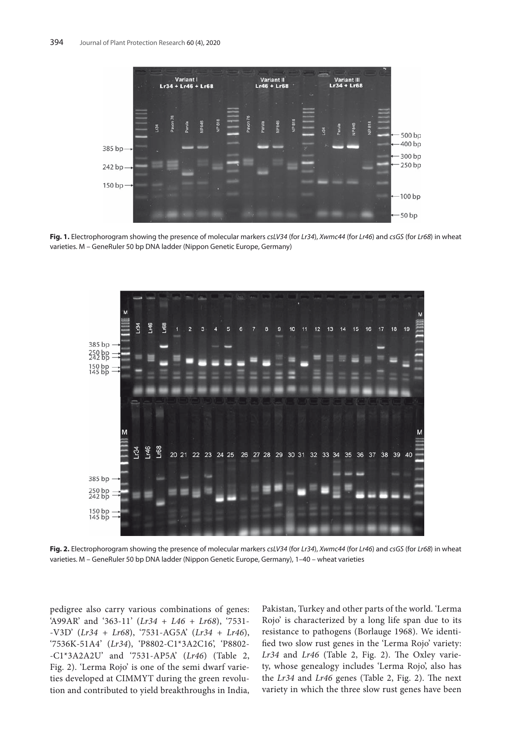

**Fig. 1.** Electrophorogram showing the presence of molecular markers *csLV34* (for *Lr34*), *Xwmc44* (for *Lr46*) and *csGS* (for *Lr68*) in wheat varieties. M – GeneRuler 50 bp DNA ladder (Nippon Genetic Europe, Germany)



**Fig. 2.** Electrophorogram showing the presence of molecular markers *csLV34* (for *Lr34*), *Xwmc44* (for *Lr46*) and *csGS* (for *Lr68*) in wheat varieties. M – GeneRuler 50 bp DNA ladder (Nippon Genetic Europe, Germany), 1–40 – wheat varieties

pedigree also carry various combinations of genes: 'A99AR' and '363-11' (*Lr34 + L46 + Lr68*), '7531- -V3D' (*Lr34 + Lr68*), '7531-AG5A' (*Lr34 + Lr46*), '7536K-51A4' (*Lr34*), 'P8802-C1\*3A2C16', 'P8802- -C1\*3A2A2U' and '7531-AP5A' (*Lr46*) (Table 2, Fig. 2). 'Lerma Rojo' is one of the semi dwarf varieties developed at CIMMYT during the green revolution and contributed to yield breakthroughs in India, Pakistan, Turkey and other parts of the world. 'Lerma Rojo' is characterized by a long life span due to its resistance to pathogens (Borlauge 1968). We identified two slow rust genes in the 'Lerma Rojo' variety: *Lr34* and *Lr46* (Table 2, Fig. 2). The Oxley variety, whose genealogy includes 'Lerma Rojo', also has the *Lr34* and *Lr46* genes (Table 2, Fig. 2). The next variety in which the three slow rust genes have been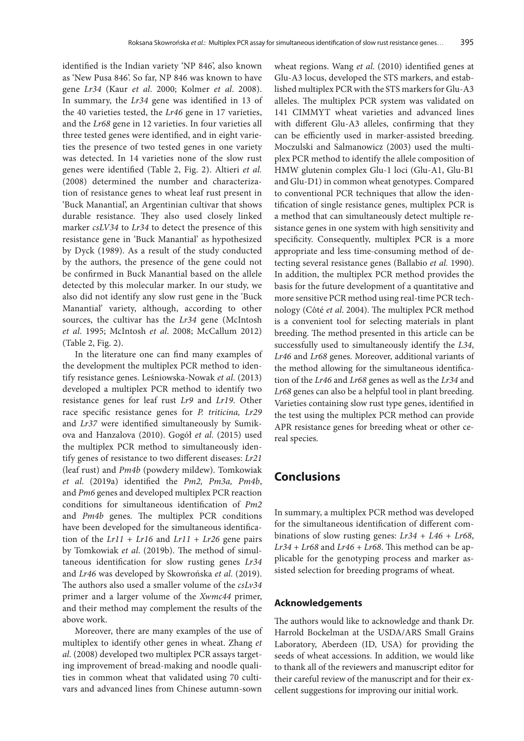identified is the Indian variety 'NP 846', also known as 'New Pusa 846'. So far, NP 846 was known to have gene *Lr34* (Kaur *et al*. 2000; Kolmer *et al*. 2008). In summary, the *Lr34* gene was identified in 13 of the 40 varieties tested, the *Lr46* gene in 17 varieties, and the *Lr68* gene in 12 varieties. In four varieties all three tested genes were identified, and in eight varieties the presence of two tested genes in one variety was detected. In 14 varieties none of the slow rust genes were identified (Table 2, Fig. 2). Altieri *et al.* (2008) determined the number and characterization of resistance genes to wheat leaf rust present in 'Buck Manantial', an Argentinian cultivar that shows durable resistance. They also used closely linked marker *csLV34* to *Lr34* to detect the presence of this resistance gene in 'Buck Manantial' as hypothesized by Dyck (1989). As a result of the study conducted by the authors, the presence of the gene could not be confirmed in Buck Manantial based on the allele detected by this molecular marker. In our study, we also did not identify any slow rust gene in the 'Buck Manantial' variety, although, according to other sources, the cultivar has the *Lr34* gene (McIntosh *et al*. 1995; McIntosh *et al*. 2008; McCallum 2012) (Table 2, Fig. 2).

In the literature one can find many examples of the development the multiplex PCR method to identify resistance genes. Leśniowska-Nowak *et al*. (2013) developed a multiplex PCR method to identify two resistance genes for leaf rust *Lr9* and *Lr19*. Other race specific resistance genes for *P. triticina, Lr29* and *Lr37* were identified simultaneously by Sumikova and Hanzalova (2010). Gogół *et al*. (2015) used the multiplex PCR method to simultaneously identify genes of resistance to two different diseases: *Lr21* (leaf rust) and *Pm4b* (powdery mildew). Tomkowiak *et al*. (2019a) identified the *Pm2, Pm3a, Pm4b*, and *Pm6* genes and developed multiplex PCR reaction conditions for simultaneous identification of *Pm2* and *Pm4b* genes. The multiplex PCR conditions have been developed for the simultaneous identification of the *Lr11* + *Lr16* and *Lr11* + *Lr26* gene pairs by Tomkowiak *et al*. (2019b). The method of simultaneous identification for slow rusting genes *Lr34* and *Lr46* was developed by Skowrońska *et al*. (2019). The authors also used a smaller volume of the *csLv34* primer and a larger volume of the *Xwmc44* primer, and their method may complement the results of the above work.

Moreover, there are many examples of the use of multiplex to identify other genes in wheat. Zhang *et al*. (2008) developed two multiplex PCR assays targeting improvement of bread-making and noodle qualities in common wheat that validated using 70 cultivars and advanced lines from Chinese autumn-sown

wheat regions. Wang *et al*. (2010) identified genes at Glu-A3 locus, developed the STS markers, and established multiplex PCR with the STS markers for Glu-A3 alleles. The multiplex PCR system was validated on 141 CIMMYT wheat varieties and advanced lines with different Glu-A3 alleles, confirming that they can be efficiently used in marker-assisted breeding. Moczulski and Salmanowicz (2003) used the multiplex PCR method to identify the allele composition of HMW glutenin complex Glu-1 loci (Glu-A1, Glu-B1 and Glu-D1) in common wheat genotypes. Compared to conventional PCR techniques that allow the identification of single resistance genes, multiplex PCR is a method that can simultaneously detect multiple resistance genes in one system with high sensitivity and specificity. Consequently, multiplex PCR is a more appropriate and less time-consuming method of detecting several resistance genes (Ballabio *et al.* 1990). In addition, the multiplex PCR method provides the basis for the future development of a quantitative and more sensitive PCR method using real-time PCR technology (Côté *et al*. 2004). The multiplex PCR method is a convenient tool for selecting materials in plant breeding. The method presented in this article can be successfully used to simultaneously identify the *L34*, *Lr46* and *Lr68* genes. Moreover, additional variants of the method allowing for the simultaneous identification of the *Lr46* and *Lr68* genes as well as the *Lr34* and *Lr68* genes can also be a helpful tool in plant breeding. Varieties containing slow rust type genes, identified in the test using the multiplex PCR method can provide APR resistance genes for breeding wheat or other cereal species.

### **Conclusions**

In summary, a multiplex PCR method was developed for the simultaneous identification of different combinations of slow rusting genes: *Lr34* + *L46* + *Lr68*, *Lr34* + *Lr68* and *Lr46* + *Lr68*. This method can be applicable for the genotyping process and marker assisted selection for breeding programs of wheat.

### **Acknowledgements**

The authors would like to acknowledge and thank Dr. Harrold Bockelman at the USDA/ARS Small Grains Laboratory, Aberdeen (ID, USA) for providing the seeds of wheat accessions. In addition, we would like to thank all of the reviewers and manuscript editor for their careful review of the manuscript and for their excellent suggestions for improving our initial work.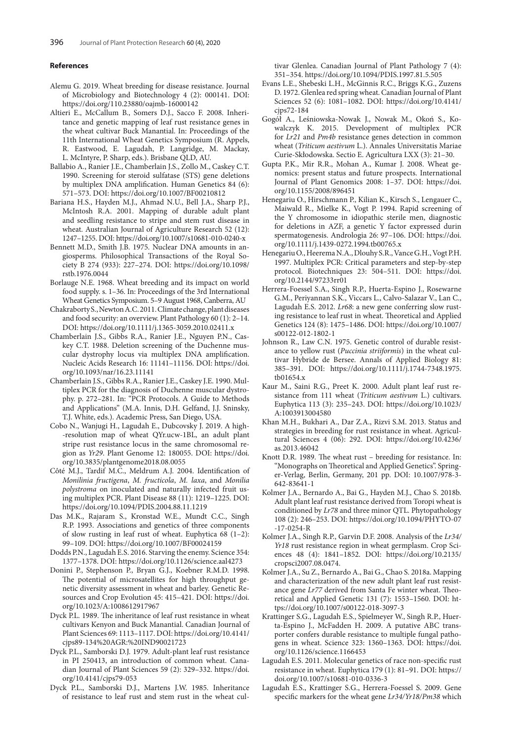#### **References**

- Alemu G. 2019. Wheat breeding for disease resistance. Journal of Microbiology and Biotechnology 4 (2): 000141. DOI: https://doi.org/110.23880/oajmb-16000142
- Altieri E., McCallum B., Somers D.J., Sacco F. 2008. Inheritance and genetic mapping of leaf rust resistance genes in the wheat cultivar Buck Manantial. In: Proceedings of the 11th International Wheat Genetics Symposium (R. Appels, R. Eastwood, E. Lagudah, P. Langridge, M. Mackay, L. McIntyre, P. Sharp, eds.). Brisbane QLD, AU.
- Ballabio A., Ranier J.E., Chamberlain J.S., Zollo M., Caskey C.T. 1990. Screening for steroid sulfatase (STS) gene deletions by multiplex DNA amplification. Human Genetics 84 (6): 571–573. DOI: https://doi.org/10.1007/BF00210812
- Bariana H.S., Hayden M.J., Ahmad N.U., Bell J.A., Sharp P.J., McIntosh R.A. 2001. Mapping of durable adult plant and seedling resistance to stripe and stem rust disease in wheat. Australian Journal of Agriculture Research 52 (12): 1247–1255. DOI: https://doi.org/10.1007/s10681-010-0240-x
- Bennett M.D., Smith J.B. 1975. Nuclear DNA amounts in angiosperms. Philosophical Transactions of the Royal Society B 274 (933): 227–274. DOI: https://doi.org/10.1098/ rstb.1976.0044
- Borlauge N.E. 1968. Wheat breeding and its impact on world food supply. s. 1–36. In: Proceedings of the 3rd International Wheat Genetics Symposium. 5–9 August 1968, Canberra, AU
- Chakraborty S., Newton A.C. 2011. Climate change, plant diseases and food security: an overview. Plant Pathology 60 (1): 2–14. DOI: https://doi.org/10.1111/j.1365-3059.2010.02411.x
- Chamberlain J.S., Gibbs R.A., Ranier J.E., Nguyen P.N., Caskey C.T. 1988. Deletion screening of the Duchenne muscular dystrophy locus via multiplex DNA amplification. Nucleic Acids Research 16: 11141–11156. DOI: https://doi. org/10.1093/nar/16.23.11141
- Chamberlain J.S., Gibbs R.A., Ranier J.E., Caskey J.E. 1990. Multiplex PCR for the diagnosis of Duchenne muscular dystrophy. p. 272–281. In: "PCR Protocols. A Guide to Methods and Applications" (M.A. Innis, D.H. Gelfand, J.J. Sninsky, T.J. White, eds.). Academic Press, San Diego, USA.
- Cobo N., Wanjugi H., Lagudah E., Dubcovsky J. 2019. A high- -resolution map of wheat QYr.ucw-1BL, an adult plant stripe rust resistance locus in the same chromosomal region as *Yr29*. Plant Genome 12: 180055. DOI: https://doi. org/10.3835/plantgenome2018.08.0055
- Côté M.J., Tardif M.C., Meldrum A.J. 2004. Identification of *Monilinia fructigena*, *M. fructicola*, *M. laxa*, and *Monilia polystroma* on inoculated and naturally infected fruit using multiplex PCR. Plant Disease 88 (11): 1219–1225. DOI: https://doi.org/10.1094/PDIS.2004.88.11.1219
- Das M.K., Rajaram S., Kronstad W.E., Mundt C.C., Singh R.P. 1993. Associations and genetics of three components of slow rusting in leaf rust of wheat. Euphytica 68 (1–2): 99–109. DOI: https://doi.org/10.1007/BF00024159
- Dodds P.N., Lagudah E.S. 2016. Starving the enemy. Science 354: 1377–1378. DOI: https://doi.org/10.1126/science.aal4273
- Donini P., Stephenson P., Bryan G.J., Koebner R.M.D. 1998. The potential of microsatellites for high throughput genetic diversity assessment in wheat and barley. Genetic Resources and Crop Evolution 45: 415–421. DOI: https://doi. org/10.1023/A:1008612917967
- Dyck P.L. 1989. The inheritance of leaf rust resistance in wheat cultivars Kenyon and Buck Manantial. Canadian Journal of Plant Sciences 69: 1113–1117. DOI: https://doi.org/10.4141/ cjps89-134%20AGR:%20IND90021723
- Dyck P.L., Samborski D.J. 1979. Adult-plant leaf rust resistance in PI 250413, an introduction of common wheat. Canadian Journal of Plant Sciences 59 (2): 329–332. https://doi. org/10.4141/cjps79-053
- Dyck P.L., Samborski D.J., Martens J.W. 1985. Inheritance of resistance to leaf rust and stem rust in the wheat cul-

tivar Glenlea. Canadian Journal of Plant Pathology 7 (4): 351–354. https://doi.org/10.1094/PDIS.1997.81.5.505

- Evans L.E., Shebeski L.H., McGinnis R.C., Briggs K.G., Zuzens D. 1972. Glenlea red spring wheat. Canadian Journal of Plant Sciences 52 (6): 1081–1082. DOI: https://doi.org/10.4141/ cjps72-184
- Gogół A., Leśniowska-Nowak J., Nowak M., Okoń S., Kowalczyk K. 2015. Development of multiplex PCR for *Lr21* and *Pm4b* resistance genes detection in common wheat (*Triticum aestivum* L.). Annales Universitatis Mariae Curie-Skłodowska. Sectio E. Agricultura LXX (3): 21–30.
- Gupta P.K., Mir R.R., Mohan A., Kumar J. 2008. Wheat genomics: present status and future prospects. International Journal of Plant Genomics 2008: 1–37. DOI: https://doi. org/10.1155/2008/896451
- Henegariu O., Hirschmann P., Kilian K., Kirsch S., Lengauer C., Maiwald R., Mielke K., Vogt P. 1994. Rapid screening of the Y chromosome in idiopathic sterile men, diagnostic for deletions in AZF, a genetic Y factor expressed durin spermatogenesis. Andrologia 26: 97–106. DOI: https://doi. org/10.1111/j.1439-0272.1994.tb00765.x
- Henegariu O., Heerema N.A., Dlouhy S.R., Vance G.H., Vogt P.H. 1997. Multiplex PCR: Critical parameters and step-by-step protocol. Biotechniques 23: 504–511. DOI: https://doi. org/10.2144/97233rr01
- Herrera-Foessel S.A., Singh R.P., Huerta-Espino J., Rosewarne G.M., Periyannan S.K., Viccars L., Calvo-Salazar V., Lan C., Lagudah E.S. 2012. *Lr68*: a new gene conferring slow rusting resistance to leaf rust in wheat. Theoretical and Applied Genetics 124 (8): 1475–1486. DOI: https://doi.org/10.1007/ s00122-012-1802-1
- Johnson R., Law C.N. 1975. Genetic control of durable resistance to yellow rust (*Puccinia striiformis*) in the wheat cultivar Hybride de Bersee. Annals of Applied Biology 81: 385–391. DOI: https://doi.org/10.1111/j.1744-7348.1975. tb01654.x
- Kaur M., Saini R.G., Preet K. 2000. Adult plant leaf rust resistance from 111 wheat (*Triticum aestivum* L.) cultivars. Euphytica 113 (3): 235–243. DOI: https://doi.org/10.1023/ A:1003913004580
- Khan M.H., Bukhari A., Dar Z.A., Rizvi S.M. 2013. Status and strategies in breeding for rust resistance in wheat. Agricultural Sciences 4 (06): 292. DOI: https://doi.org/10.4236/ as.2013.46042
- Knott D.R. 1989. The wheat rust breeding for resistance. In: "Monographs on Theoretical and Applied Genetics". Springer-Verlag, Berlin, Germany, 201 pp. DOI: 10.1007/978-3- 642-83641-1
- Kolmer J.A., Bernardo A., Bai G., Hayden M.J., Chao S. 2018b. Adult plant leaf rust resistance derived from Toropi wheat is conditioned by *Lr78* and three minor QTL. Phytopathology 108 (2): 246–253. DOI: https://doi.org/10.1094/PHYTO-07 -17-0254-R
- Kolmer J.A., Singh R.P., Garvin D.F. 2008. Analysis of the *Lr34/ Yr18* rust resistance region in wheat germplasm. Crop Sciences 48 (4): 1841–1852. DOI: https://doi.org/10.2135/ cropsci2007.08.0474.
- Kolmer J.A., Su Z., Bernardo A., Bai G., Chao S. 2018a. Mapping and characterization of the new adult plant leaf rust resistance gene *Lr77* derived from Santa Fe winter wheat. Theoretical and Applied Genetic 131 (7): 1553–1560. DOI: https://doi.org/10.1007/s00122-018-3097-3
- Krattinger S.G., Lagudah E.S., Spielmeyer W., Singh R.P., Huerta-Espino J., McFadden H. 2009. A putative ABC transporter confers durable resistance to multiple fungal pathogens in wheat. Science 323: 1360–1363. DOI: https://doi. org/10.1126/science.1166453
- Lagudah E.S. 2011. Molecular genetics of race non-specific rust resistance in wheat. Euphytica 179 (1): 81–91. DOI: https:// doi.org/10.1007/s10681-010-0336-3
- Lagudah E.S., Krattinger S.G., Herrera-Foessel S. 2009. Gene specific markers for the wheat gene *Lr34/Yr18/Pm38* which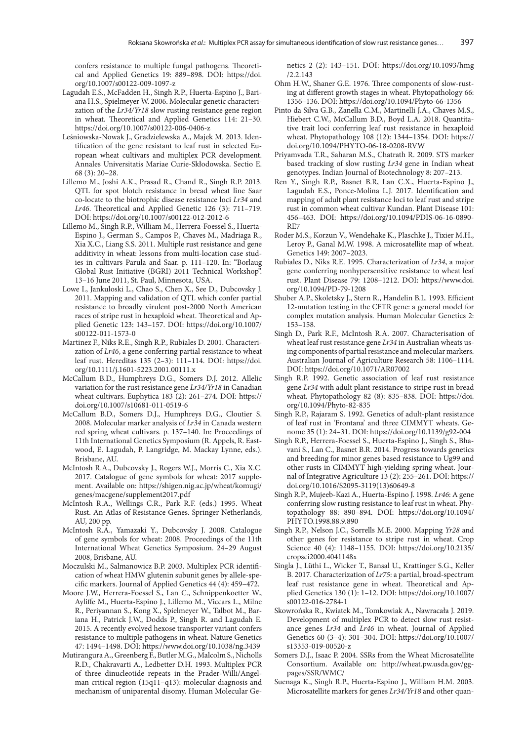confers resistance to multiple fungal pathogens. Theoretical and Applied Genetics 19: 889–898. DOI: https://doi. org/10.1007/s00122-009-1097-z

- Lagudah E.S., McFadden H., Singh R.P., Huerta-Espino J., Bariana H.S., Spielmeyer W. 2006. Molecular genetic characterization of the *Lr34/Yr18* slow rusting resistance gene region in wheat. Theoretical and Applied Genetics 114: 21–30. https://doi.org/10.1007/s00122-006-0406-z
- Leśniowska-Nowak J., Gradzielewska A., Majek M. 2013. Identification of the gene resistant to leaf rust in selected European wheat cultivars and multiplex PCR development. Annales Universitatis Mariae Curie-Skłodowska. Sectio E. 68 (3): 20–28.
- Lillemo M., Joshi A.K., Prasad R., Chand R., Singh R.P. 2013. QTL for spot blotch resistance in bread wheat line Saar co-locate to the biotrophic disease resistance loci *Lr34* and *Lr46*. Theoretical and Applied Genetic 126 (3): 711–719. DOI: https://doi.org/10.1007/s00122-012-2012-6
- Lillemo M., Singh R.P., William M., Herrera-Foessel S., Huerta-Espino J., German S., Campos P., Chaves M., Madriaga R., Xia X.C., Liang S.S. 2011. Multiple rust resistance and gene additivity in wheat: lessons from multi-location case studies in cultivars Parula and Saar. p. 111–120. In: "Borlaug Global Rust Initiative (BGRI) 2011 Technical Workshop". 13–16 June 2011, St. Paul, Minnesota, USA.
- Lowe I., Jankuloski L., Chao S., Chen X., See D., Dubcovsky J. 2011. Mapping and validation of QTL which confer partial resistance to broadly virulent post-2000 North American races of stripe rust in hexaploid wheat. Theoretical and Applied Genetic 123: 143–157. DOI: https://doi.org/10.1007/ s00122-011-1573-0
- Martinez F., Niks R.E., Singh R.P., Rubiales D. 2001. Characterization of *Lr46*, a gene conferring partial resistance to wheat leaf rust. Hereditas 135 (2–3): 111–114. DOI: https://doi. org/10.1111/j.1601-5223.2001.00111.x
- McCallum B.D., Humphreys D.G., Somers D.J. 2012. Allelic variation for the rust resistance gene *Lr34/Yr18* in Canadian wheat cultivars. Euphytica 183 (2): 261–274. DOI: https:// doi.org/10.1007/s10681-011-0519-6
- McCallum B.D., Somers D.J., Humphreys D.G., Cloutier S. 2008. Molecular marker analysis of *Lr34* in Canada western red spring wheat cultivars. p. 137–140. In: Proceedings of 11th International Genetics Symposium (R. Appels, R. Eastwood, E. Lagudah, P. Langridge, M. Mackay Lynne, eds.). Brisbane, AU.
- McIntosh R.A., Dubcovsky J., Rogers W.J., Morris C., Xia X.C. 2017. Catalogue of gene symbols for wheat: 2017 supplement. Available on: https://shigen.nig.ac.jp/wheat/komugi/ genes/macgene/supplement2017.pdf
- McIntosh R.A., Wellings C.R., Park R.F. (eds.) 1995. Wheat Rust. An Atlas of Resistance Genes. Springer Netherlands, AU, 200 pp.
- McIntosh R.A., Yamazaki Y., Dubcovsky J. 2008. Catalogue of gene symbols for wheat: 2008. Proceedings of the 11th International Wheat Genetics Symposium. 24–29 August 2008, Brisbane, AU.
- Moczulski M., Salmanowicz B.P. 2003. Multiplex PCR identification of wheat HMW glutenin subunit genes by allele-specific markers. Journal of Applied Genetics 44 (4): 459–472.
- Moore J.W., Herrera-Foessel S., Lan C., Schnippenkoetter W., Ayliffe M., Huerta-Espino J., Lillemo M., Viccars L., Milne R., Periyannan S., Kong X., Spielmeyer W., Talbot M., Bariana H., Patrick J.W., Dodds P., Singh R. and Lagudah E. 2015. A recently evolved hexose transporter variant confers resistance to multiple pathogens in wheat. Nature Genetics 47: 1494–1498. DOI: https://www.doi.org/10.1038/ng.3439
- Mutirangura A., Greenberg F., Butler M.G., Malcolm S., Nicholls R.D., Chakravarti A., Ledbetter D.H. 1993. Multiplex PCR of three dinucleotide repeats in the Prader-Willi/Angelman critical region (15q11–q13): molecular diagnosis and mechanism of uniparental disomy. Human Molecular Ge-

netics 2 (2): 143–151. DOI: https://doi.org/10.1093/hmg /2.2.143

- Ohm H.W., Shaner G.E. 1976. Three components of slow-rusting at different growth stages in wheat. Phytopathology 66: 1356–136. DOI: https://doi.org/10.1094/Phyto-66-1356
- Pinto da Silva G.B., Zanella C.M., Martinelli J.A., Chaves M.S., Hiebert C.W., McCallum B.D., Boyd L.A. 2018. Quantitative trait loci conferring leaf rust resistance in hexaploid wheat. Phytopathology 108 (12): 1344–1354. DOI: https:// doi.org/10.1094/PHYTO-06-18-0208-RVW
- Priyamvada T.R., Saharan M.S., Chatrath R. 2009. STS marker based tracking of slow rusting *Lr34* gene in Indian wheat genotypes. Indian Journal of Biotechnology 8: 207–213.
- Ren Y., Singh R.P., Basnet B.R, Lan C.X., Huerta-Espino J., Lagudah E.S., Ponce-Molina L.J. 2017. Identification and mapping of adult plant resistance loci to leaf rust and stripe rust in common wheat cultivar Kundan. Plant Disease 101: 456–463. DOI: https://doi.org/10.1094/PDIS-06-16-0890- RE7
- Roder M.S., Korzun V., Wendehake K., Plaschke J., Tixier M.H., Leroy P., Ganal M.W. 1998. A microsatellite map of wheat. Genetics 149: 2007–2023.
- Rubiales D., Niks R.E. 1995. Characterization of *Lr34*, a major gene conferring nonhypersensitive resistance to wheat leaf rust. Plant Disease 79: 1208–1212. DOI: https://www.doi. org/10.1094/PD-79-1208
- Shuber A.P., Skoletsky J., Stern R., Handelin B.L. 1993. Efficient 12-mutation testing in the CFTR gene: a general model for complex mutation analysis. Human Molecular Genetics 2: 153–158.
- Singh D., Park R.F., McIntosh R.A. 2007. Characterisation of wheat leaf rust resistance gene *Lr34* in Australian wheats using components of partial resistance and molecular markers. Australian Journal of Agriculture Research 58: 1106–1114. DOI: https://doi.org/10.1071/AR07002
- Singh R.P. 1992. Genetic association of leaf rust resistance gene *Lr34* with adult plant resistance to stripe rust in bread wheat. Phytopathology 82 (8): 835–838. DOI: https://doi. org/10.1094/Phyto-82-835
- Singh R.P., Rajaram S. 1992. Genetics of adult-plant resistance of leaf rust in 'Frontana' and three CIMMYT wheats. Genome 35 (1): 24–31. DOI: https://doi.org/10.1139/g92-004
- Singh R.P., Herrera-Foessel S., Huerta-Espino J., Singh S., Bhavani S., Lan C., Basnet B.R. 2014. Progress towards genetics and breeding for minor genes based resistance to Ug99 and other rusts in CIMMYT high-yielding spring wheat. Journal of Integrative Agriculture 13 (2): 255–261. DOI: https:// doi.org/10.1016/S2095-3119(13)60649-8
- Singh R.P., Mujeeb-Kazi A., Huerta-Espino J. 1998. *Lr46*: A gene conferring slow rusting resistance to leaf rust in wheat. Phytopathology 88: 890–894. DOI: https://doi.org/10.1094/ PHYTO.1998.88.9.890
- Singh R.P., Nelson J.C., Sorrells M.E. 2000. Mapping *Yr28* and other genes for resistance to stripe rust in wheat. Crop Science 40 (4): 1148–1155. DOI: https://doi.org/10.2135/ cropsci2000.4041148x
- Singla J., Lüthi L., Wicker T., Bansal U., Krattinger S.G., Keller B. 2017. Characterization of *Lr75*: a partial, broad-spectrum leaf rust resistance gene in wheat. Theoretical and Applied Genetics 130 (1): 1–12. DOI: https://doi.org/10.1007/ s00122-016-2784-1
- Skowrońska R., Kwiatek M., Tomkowiak A., Nawracała J. 2019. Development of multiplex PCR to detect slow rust resistance genes *Lr34* and *Lr46* in wheat. Journal of Applied Genetics 60 (3–4): 301–304. DOI: https://doi.org/10.1007/ s13353-019-00520-z
- Somers D.J., Isaac P. 2004. SSRs from the Wheat Microsatellite Consortium. Available on: http://wheat.pw.usda.gov/ggpages/SSR/WMC/
- Suenaga K., Singh R.P., Huerta-Espino J., William H.M. 2003. Microsatellite markers for genes *Lr34/Yr18* and other quan-